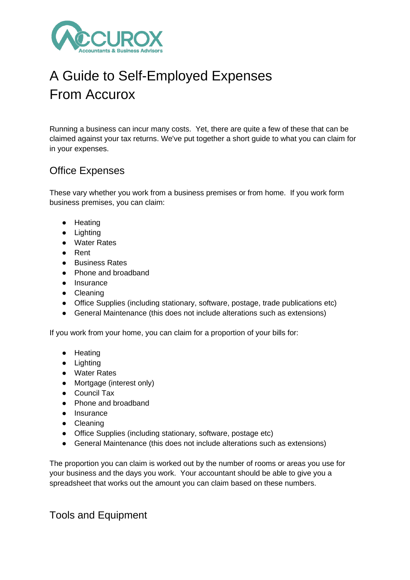

# A Guide to Self-Employed Expenses From Accurox

Running a business can incur many costs. Yet, there are quite a few of these that can be claimed against your tax returns. We've put together a short guide to what you can claim for in your expenses.

#### Office Expenses

These vary whether you work from a business premises or from home. If you work form business premises, you can claim:

- Heating
- Lighting
- Water Rates
- Rent
- Business Rates
- Phone and broadband
- Insurance
- Cleaning
- Office Supplies (including stationary, software, postage, trade publications etc)
- General Maintenance (this does not include alterations such as extensions)

If you work from your home, you can claim for a proportion of your bills for:

- Heating
- Lighting
- Water Rates
- Mortgage (interest only)
- Council Tax
- Phone and broadband
- Insurance
- Cleaning
- Office Supplies (including stationary, software, postage etc)
- General Maintenance (this does not include alterations such as extensions)

The proportion you can claim is worked out by the number of rooms or areas you use for your business and the days you work. Your accountant should be able to give you a spreadsheet that works out the amount you can claim based on these numbers.

Tools and Equipment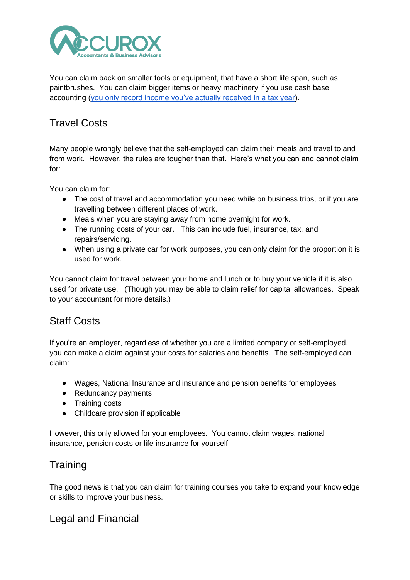

You can claim back on smaller tools or equipment, that have a short life span, such as paintbrushes. You can claim bigger items or heavy machinery if you use cash base accounting [\(you only record income you've actually received in a tax](https://www.gov.uk/simpler-income-tax-cash-basis/income-and-expenses-under-cash-basis) year).

## Travel Costs

Many people wrongly believe that the self-employed can claim their meals and travel to and from work. However, the rules are tougher than that. Here's what you can and cannot claim for:

You can claim for:

- The cost of travel and accommodation you need while on business trips, or if you are travelling between different places of work.
- Meals when you are staying away from home overnight for work.
- The running costs of your car. This can include fuel, insurance, tax, and repairs/servicing.
- When using a private car for work purposes, you can only claim for the proportion it is used for work.

You cannot claim for travel between your home and lunch or to buy your vehicle if it is also used for private use. (Though you may be able to claim relief for capital allowances. Speak to your accountant for more details.)

# Staff Costs

If you're an employer, regardless of whether you are a limited company or self-employed, you can make a claim against your costs for salaries and benefits. The self-employed can claim:

- Wages, National Insurance and insurance and pension benefits for employees
- Redundancy payments
- Training costs
- Childcare provision if applicable

However, this only allowed for your employees. You cannot claim wages, national insurance, pension costs or life insurance for yourself.

### **Training**

The good news is that you can claim for training courses you take to expand your knowledge or skills to improve your business.

#### Legal and Financial